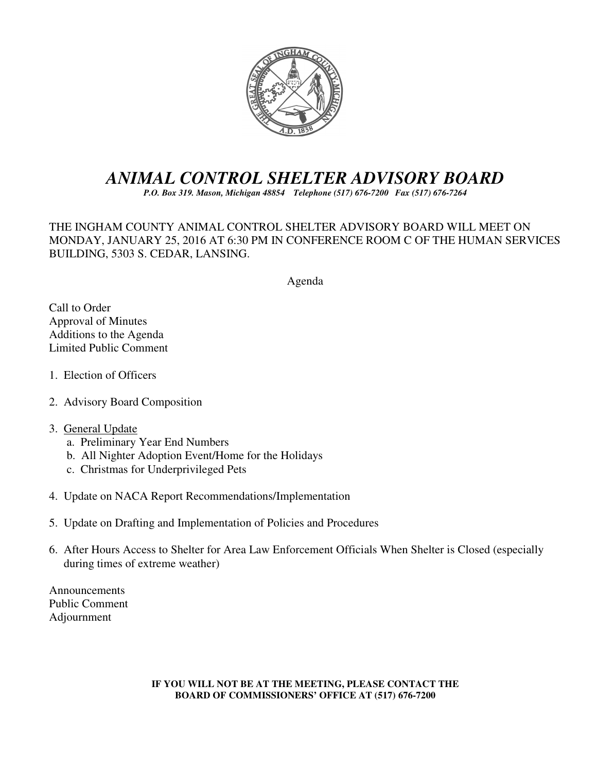

# *ANIMAL CONTROL SHELTER ADVISORY BOARD*

*P.O. Box 319. Mason, Michigan 48854 Telephone (517) 676-7200 Fax (517) 676-7264*

THE INGHAM COUNTY ANIMAL CONTROL SHELTER ADVISORY BOARD WILL MEET ON MONDAY, JANUARY 25, 2016 AT 6:30 PM IN CONFERENCE ROOM C OF THE HUMAN SERVICES BUILDING, 5303 S. CEDAR, LANSING.

#### Agenda

Call to Order Approval of Minutes Additions to the Agenda Limited Public Comment

- 1. Election of Officers
- 2. Advisory Board Composition

#### 3. General Update

- a. Preliminary Year End Numbers
- b. All Nighter Adoption Event/Home for the Holidays
- c. Christmas for Underprivileged Pets
- 4. Update on NACA Report Recommendations/Implementation
- 5. Update on Drafting and Implementation of Policies and Procedures
- 6. After Hours Access to Shelter for Area Law Enforcement Officials When Shelter is Closed (especially during times of extreme weather)

Announcements Public Comment Adjournment

> **IF YOU WILL NOT BE AT THE MEETING, PLEASE CONTACT THE BOARD OF COMMISSIONERS' OFFICE AT (517) 676-7200**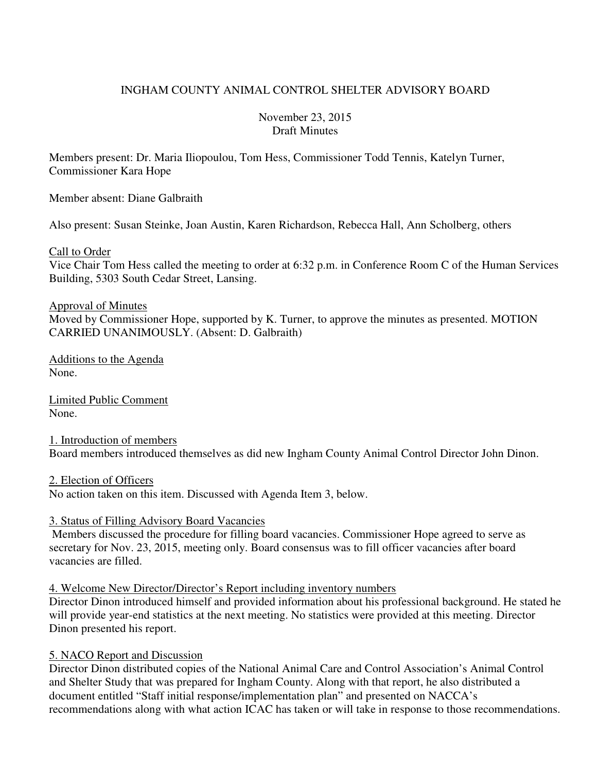# INGHAM COUNTY ANIMAL CONTROL SHELTER ADVISORY BOARD

#### November 23, 2015 Draft Minutes

Members present: Dr. Maria Iliopoulou, Tom Hess, Commissioner Todd Tennis, Katelyn Turner, Commissioner Kara Hope

Member absent: Diane Galbraith

Also present: Susan Steinke, Joan Austin, Karen Richardson, Rebecca Hall, Ann Scholberg, others

Call to Order

Vice Chair Tom Hess called the meeting to order at 6:32 p.m. in Conference Room C of the Human Services Building, 5303 South Cedar Street, Lansing.

#### Approval of Minutes

Moved by Commissioner Hope, supported by K. Turner, to approve the minutes as presented. MOTION CARRIED UNANIMOUSLY. (Absent: D. Galbraith)

Additions to the Agenda None.

Limited Public Comment None.

1. Introduction of members Board members introduced themselves as did new Ingham County Animal Control Director John Dinon.

2. Election of Officers

No action taken on this item. Discussed with Agenda Item 3, below.

#### 3. Status of Filling Advisory Board Vacancies

 Members discussed the procedure for filling board vacancies. Commissioner Hope agreed to serve as secretary for Nov. 23, 2015, meeting only. Board consensus was to fill officer vacancies after board vacancies are filled.

#### 4. Welcome New Director/Director's Report including inventory numbers

Director Dinon introduced himself and provided information about his professional background. He stated he will provide year-end statistics at the next meeting. No statistics were provided at this meeting. Director Dinon presented his report.

#### 5. NACO Report and Discussion

Director Dinon distributed copies of the National Animal Care and Control Association's Animal Control and Shelter Study that was prepared for Ingham County. Along with that report, he also distributed a document entitled "Staff initial response/implementation plan" and presented on NACCA's recommendations along with what action ICAC has taken or will take in response to those recommendations.